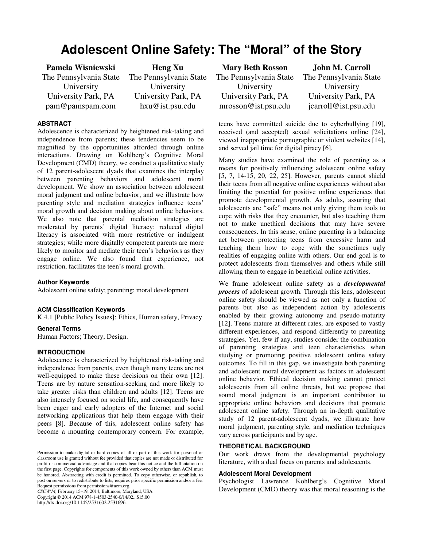# **Adolescent Online Safety: The "Moral" of the Story**

**Pamela Wisniewski**  The Pennsylvania State University University Park, PA pam@pamspam.com

**Heng Xu**  The Pennsylvania State University University Park, PA hxu@ist.psu.edu

# **ABSTRACT**

Adolescence is characterized by heightened risk-taking and independence from parents; these tendencies seem to be magnified by the opportunities afforded through online interactions. Drawing on Kohlberg's Cognitive Moral Development (CMD) theory, we conduct a qualitative study of 12 parent-adolescent dyads that examines the interplay between parenting behaviors and adolescent moral development. We show an association between adolescent moral judgment and online behavior, and we illustrate how parenting style and mediation strategies influence teens' moral growth and decision making about online behaviors. We also note that parental mediation strategies are moderated by parents' digital literacy: reduced digital literacy is associated with more restrictive or indulgent strategies; while more digitally competent parents are more likely to monitor and mediate their teen's behaviors as they engage online. We also found that experience, not restriction, facilitates the teen's moral growth.

**Author Keywords** 

Adolescent online safety; parenting; moral development

#### **ACM Classification Keywords**

K.4.1 [Public Policy Issues]: Ethics, Human safety, Privacy

## **General Terms**

Human Factors; Theory; Design.

#### **INTRODUCTION**

Adolescence is characterized by heightened risk-taking and independence from parents, even though many teens are not well-equipped to make these decisions on their own [12]. Teens are by nature sensation-seeking and more likely to take greater risks than children and adults [12]. Teens are also intensely focused on social life, and consequently have been eager and early adopters of the Internet and social networking applications that help them engage with their peers [8]. Because of this, adolescent online safety has become a mounting contemporary concern. For example,

*CSCW'14,* February 15–19, 2014, Baltimore, Maryland, USA. Copyright © 2014 ACM 978-1-4503-2540-0/14/02...\$15.00. http://dx.doi.org/10.1145/2531602.2531696.

| <b>Mary Beth Rosson</b> | Jo.   |
|-------------------------|-------|
| The Pennsylvania State  | The P |
| University              |       |
| University Park, PA     | Uni   |
| mrosson@ist.psu.edu     | jcar  |

**hn M. Carroll** Pennsylvania State University versity Park, PA roll@ist.psu.edu

teens have committed suicide due to cyberbullying [19], received (and accepted) sexual solicitations online [24], viewed inappropriate pornographic or violent websites [14], and served jail time for digital piracy [6].

Many studies have examined the role of parenting as a means for positively influencing adolescent online safety [5, 7, 14-15, 20, 22, 25]. However, parents cannot shield their teens from all negative online experiences without also limiting the potential for positive online experiences that promote developmental growth. As adults, assuring that adolescents are "safe" means not only giving them tools to cope with risks that they encounter, but also teaching them not to make unethical decisions that may have severe consequences. In this sense, online parenting is a balancing act between protecting teens from excessive harm and teaching them how to cope with the sometimes ugly realities of engaging online with others. Our end goal is to protect adolescents from themselves and others while still allowing them to engage in beneficial online activities.

We frame adolescent online safety as a *developmental process* of adolescent growth. Through this lens, adolescent online safety should be viewed as not only a function of parents but also as independent action by adolescents enabled by their growing autonomy and pseudo-maturity [12]. Teens mature at different rates, are exposed to vastly different experiences, and respond differently to parenting strategies. Yet, few if any, studies consider the combination of parenting strategies and teen characteristics when studying or promoting positive adolescent online safety outcomes. To fill in this gap, we investigate both parenting and adolescent moral development as factors in adolescent online behavior. Ethical decision making cannot protect adolescents from all online threats, but we propose that sound moral judgment is an important contributor to appropriate online behaviors and decisions that promote adolescent online safety. Through an in-depth qualitative study of 12 parent-adolescent dyads, we illustrate how moral judgment, parenting style, and mediation techniques vary across participants and by age.

# **THEORETICAL BACKGROUND**

Our work draws from the developmental psychology literature, with a dual focus on parents and adolescents.

## **Adolescent Moral Development**

Psychologist Lawrence Kohlberg's Cognitive Moral Development (CMD) theory was that moral reasoning is the

Permission to make digital or hard copies of all or part of this work for personal or classroom use is granted without fee provided that copies are not made or distributed for profit or commercial advantage and that copies bear this notice and the full citation on the first page. Copyrights for components of this work owned by others than ACM must be honored. Abstracting with credit is permitted. To copy otherwise, or republish, to post on servers or to redistribute to lists, requires prior specific permission and/or a fee. Request permissions from permissions@acm.org.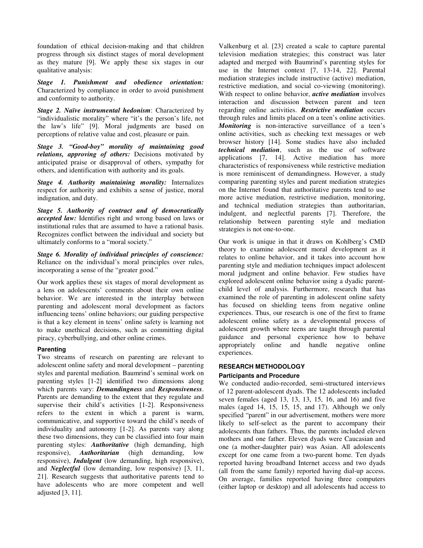foundation of ethical decision-making and that children progress through six distinct stages of moral development as they mature [9]. We apply these six stages in our qualitative analysis:

*Stage 1. Punishment and obedience orientation:* Characterized by compliance in order to avoid punishment and conformity to authority.

*Stage 2. Naïve instrumental hedonism*: Characterized by "individualistic morality" where "it's the person's life, not the law's life" [9]. Moral judgments are based on perceptions of relative value and cost, pleasure or pain.

*Stage 3. "Good-boy" morality of maintaining good relations, approving of others:* Decisions motivated by anticipated praise or disapproval of others, sympathy for others, and identification with authority and its goals.

*Stage 4. Authority maintaining morality:* Internalizes respect for authority and exhibits a sense of justice, moral indignation, and duty.

*Stage 5. Authority of contract and of democratically accepted law:* Identifies right and wrong based on laws or institutional rules that are assumed to have a rational basis. Recognizes conflict between the individual and society but ultimately conforms to a "moral society."

*Stage 6. Morality of individual principles of conscience:* Reliance on the individual's moral principles over rules, incorporating a sense of the "greater good."

Our work applies these six stages of moral development as a lens on adolescents' comments about their own online behavior. We are interested in the interplay between parenting and adolescent moral development as factors influencing teens' online behaviors; our guiding perspective is that a key element in teens' online safety is learning not to make unethical decisions, such as committing digital piracy, cyberbullying, and other online crimes.

# **Parenting**

Two streams of research on parenting are relevant to adolescent online safety and moral development – parenting styles and parental mediation. Baumrind's seminal work on parenting styles [1-2] identified two dimensions along which parents vary: *Demandingness* and *Responsiveness*. Parents are demanding to the extent that they regulate and supervise their child's activities [1-2]. Responsiveness refers to the extent in which a parent is warm, communicative, and supportive toward the child's needs of individuality and autonomy [1-2]. As parents vary along these two dimensions, they can be classified into four main parenting styles: *Authoritative* (high demanding, high responsive), *Authoritarian* (high demanding, low responsive), *Indulgent* (low demanding, high responsive), and *Neglectful* (low demanding, low responsive) [3, 11, 21]. Research suggests that authoritative parents tend to have adolescents who are more competent and well adjusted [3, 11].

Valkenburg et al. [23] created a scale to capture parental television mediation strategies; this construct was later adapted and merged with Baumrind's parenting styles for use in the Internet context [7, 13-14, 22]. Parental mediation strategies include instructive (active) mediation, restrictive mediation, and social co-viewing (monitoring). With respect to online behavior, *active mediation* involves interaction and discussion between parent and teen regarding online activities. *Restrictive mediation* occurs through rules and limits placed on a teen's online activities. *Monitoring* is non-interactive surveillance of a teen's online activities, such as checking text messages or web browser history [14]. Some studies have also included *technical mediation*, such as the use of software applications [7, 14]. Active mediation has more characteristics of responsiveness while restrictive mediation is more reminiscent of demandingness. However, a study comparing parenting styles and parent mediation strategies on the Internet found that authoritative parents tend to use more active mediation, restrictive mediation, monitoring, and technical mediation strategies than authoritarian, indulgent, and neglectful parents [7]. Therefore, the relationship between parenting style and mediation strategies is not one-to-one.

Our work is unique in that it draws on Kohlberg's CMD theory to examine adolescent moral development as it relates to online behavior, and it takes into account how parenting style and mediation techniques impact adolescent moral judgment and online behavior. Few studies have explored adolescent online behavior using a dyadic parentchild level of analysis. Furthermore, research that has examined the role of parenting in adolescent online safety has focused on shielding teens from negative online experiences. Thus, our research is one of the first to frame adolescent online safety as a developmental process of adolescent growth where teens are taught through parental guidance and personal experience how to behave appropriately online and handle negative online experiences.

# **RESEARCH METHODOLOGY**

# **Participants and Procedure**

We conducted audio-recorded, semi-structured interviews of 12 parent-adolescent dyads. The 12 adolescents included seven females (aged 13, 13, 13, 15, 16, and 16) and five males (aged 14, 15, 15, 15, and 17). Although we only specified "parent" in our advertisement, mothers were more likely to self-select as the parent to accompany their adolescents than fathers. Thus, the parents included eleven mothers and one father. Eleven dyads were Caucasian and one (a mother-daughter pair) was Asian. All adolescents except for one came from a two-parent home. Ten dyads reported having broadband Internet access and two dyads (all from the same family) reported having dial-up access. On average, families reported having three computers (either laptop or desktop) and all adolescents had access to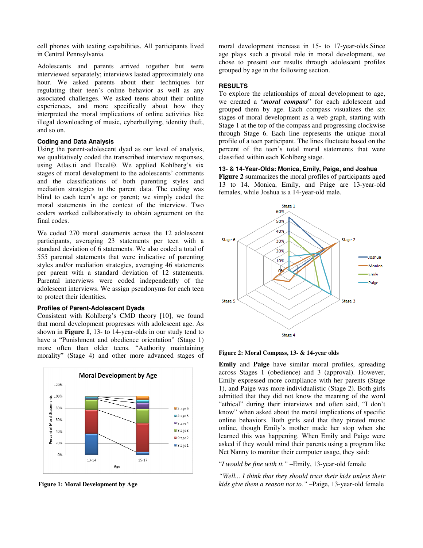cell phones with texting capabilities. All participants lived in Central Pennsylvania.

Adolescents and parents arrived together but were interviewed separately; interviews lasted approximately one hour. We asked parents about their techniques for regulating their teen's online behavior as well as any associated challenges. We asked teens about their online experiences, and more specifically about how they interpreted the moral implications of online activities like illegal downloading of music, cyberbullying, identity theft, and so on.

# **Coding and Data Analysis**

Using the parent-adolescent dyad as our level of analysis, we qualitatively coded the transcribed interview responses, using Atlas.ti and Excel®. We applied Kohlberg's six stages of moral development to the adolescents' comments and the classifications of both parenting styles and mediation strategies to the parent data. The coding was blind to each teen's age or parent; we simply coded the moral statements in the context of the interview. Two coders worked collaboratively to obtain agreement on the final codes.

We coded 270 moral statements across the 12 adolescent participants, averaging 23 statements per teen with a standard deviation of 6 statements. We also coded a total of 555 parental statements that were indicative of parenting styles and/or mediation strategies, averaging 46 statements per parent with a standard deviation of 12 statements. Parental interviews were coded independently of the adolescent interviews. We assign pseudonyms for each teen to protect their identities.

# **Profiles of Parent-Adolescent Dyads**

Consistent with Kohlberg's CMD theory [10], we found that moral development progresses with adolescent age. As shown in **Figure 1**, 13- to 14-year-olds in our study tend to have a "Punishment and obedience orientation" (Stage 1) more often than older teens. "Authority maintaining morality" (Stage 4) and other more advanced stages of



**Figure 1: Moral Development by Age** 

moral development increase in 15- to 17-year-olds.Since age plays such a pivotal role in moral development, we chose to present our results through adolescent profiles grouped by age in the following section.

### **RESULTS**

To explore the relationships of moral development to age, we created a "*moral compass*" for each adolescent and grouped them by age. Each compass visualizes the six stages of moral development as a web graph, starting with Stage 1 at the top of the compass and progressing clockwise through Stage 6. Each line represents the unique moral profile of a teen participant. The lines fluctuate based on the percent of the teen's total moral statements that were classified within each Kohlberg stage.

## **13- & 14-Year-Olds: Monica, Emily, Paige, and Joshua**

**Figure 2** summarizes the moral profiles of participants aged 13 to 14. Monica, Emily, and Paige are 13-year-old females, while Joshua is a 14-year-old male.



## **Figure 2: Moral Compass, 13- & 14-year olds**

**Emily** and **Paige** have similar moral profiles, spreading across Stages 1 (obedience) and 3 (approval). However, Emily expressed more compliance with her parents (Stage 1), and Paige was more individualistic (Stage 2). Both girls admitted that they did not know the meaning of the word "ethical" during their interviews and often said, "I don't know" when asked about the moral implications of specific online behaviors. Both girls said that they pirated music online, though Emily's mother made her stop when she learned this was happening. When Emily and Paige were asked if they would mind their parents using a program like Net Nanny to monitor their computer usage, they said:

"*I would be fine with it."* –Emily, 13-year-old female

*"Well... I think that they should trust their kids unless their kids give them a reason not to."* –Paige, 13-year-old female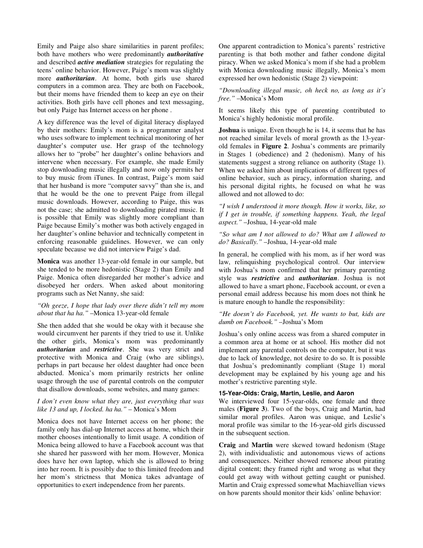Emily and Paige also share similarities in parent profiles; both have mothers who were predominantly *authoritative* and described *active mediation* strategies for regulating the teens' online behavior. However, Paige's mom was slightly more *authoritarian*. At home, both girls use shared computers in a common area. They are both on Facebook, but their moms have friended them to keep an eye on their activities. Both girls have cell phones and text messaging, but only Paige has Internet access on her phone .

A key difference was the level of digital literacy displayed by their mothers: Emily's mom is a programmer analyst who uses software to implement technical monitoring of her daughter's computer use. Her grasp of the technology allows her to "probe" her daughter's online behaviors and intervene when necessary. For example, she made Emily stop downloading music illegally and now only permits her to buy music from iTunes. In contrast, Paige's mom said that her husband is more "computer savvy" than she is, and that he would be the one to prevent Paige from illegal music downloads. However, according to Paige, this was not the case; she admitted to downloading pirated music. It is possible that Emily was slightly more compliant than Paige because Emily's mother was both actively engaged in her daughter's online behavior and technically competent in enforcing reasonable guidelines. However, we can only speculate because we did not interview Paige's dad.

**Monica** was another 13-year-old female in our sample, but she tended to be more hedonistic (Stage 2) than Emily and Paige. Monica often disregarded her mother's advice and disobeyed her orders. When asked about monitoring programs such as Net Nanny, she said:

# *"Oh geeze, I hope that lady over there didn't tell my mom about that ha ha."* –Monica 13-year-old female

She then added that she would be okay with it because she would circumvent her parents if they tried to use it. Unlike the other girls, Monica's mom was predominantly *authoritarian* and *restrictive*. She was very strict and protective with Monica and Craig (who are siblings), perhaps in part because her oldest daughter had once been abducted. Monica's mom primarily restricts her online usage through the use of parental controls on the computer that disallow downloads, some websites, and many games:

# *I don't even know what they are, just everything that was like 13 and up, I locked. ha ha."* – Monica's Mom

Monica does not have Internet access on her phone; the family only has dial-up Internet access at home, which their mother chooses intentionally to limit usage. A condition of Monica being allowed to have a Facebook account was that she shared her password with her mom. However, Monica does have her own laptop, which she is allowed to bring into her room. It is possibly due to this limited freedom and her mom's strictness that Monica takes advantage of opportunities to exert independence from her parents.

One apparent contradiction to Monica's parents' restrictive parenting is that both mother and father condone digital piracy. When we asked Monica's mom if she had a problem with Monica downloading music illegally, Monica's mom expressed her own hedonistic (Stage 2) viewpoint:

*"Downloading illegal music, oh heck no, as long as it's free."* –Monica's Mom

It seems likely this type of parenting contributed to Monica's highly hedonistic moral profile.

**Joshua** is unique. Even though he is 14, it seems that he has not reached similar levels of moral growth as the 13-yearold females in **Figure 2**. Joshua's comments are primarily in Stages 1 (obedience) and 2 (hedonism). Many of his statements suggest a strong reliance on authority (Stage 1). When we asked him about implications of different types of online behavior, such as piracy, information sharing, and his personal digital rights, he focused on what he was allowed and not allowed to do:

*"I wish I understood it more though. How it works, like, so if I get in trouble, if something happens. Yeah, the legal aspect."* –Joshua, 14-year-old male

*"So what am I not allowed to do? What am I allowed to do? Basically."* –Joshua, 14-year-old male

In general, he complied with his mom, as if her word was law, relinquishing psychological control. Our interview with Joshua's mom confirmed that her primary parenting style was *restrictive* and *authoritarian*. Joshua is not allowed to have a smart phone, Facebook account, or even a personal email address because his mom does not think he is mature enough to handle the responsibility:

# *"He doesn't do Facebook, yet. He wants to but, kids are dumb on Facebook."* –Joshua's Mom

Joshua's only online access was from a shared computer in a common area at home or at school. His mother did not implement any parental controls on the computer, but it was due to lack of knowledge, not desire to do so. It is possible that Joshua's predominantly compliant (Stage 1) moral development may be explained by his young age and his mother's restrictive parenting style.

# **15-Year-Olds: Craig, Martin, Leslie, and Aaron**

We interviewed four 15-year-olds, one female and three males (**Figure 3**). Two of the boys, Craig and Martin, had similar moral profiles. Aaron was unique, and Leslie's moral profile was similar to the 16-year-old girls discussed in the subsequent section.

**Craig** and **Martin** were skewed toward hedonism (Stage 2), with individualistic and autonomous views of actions and consequences. Neither showed remorse about pirating digital content; they framed right and wrong as what they could get away with without getting caught or punished. Martin and Craig expressed somewhat Machiavellian views on how parents should monitor their kids' online behavior: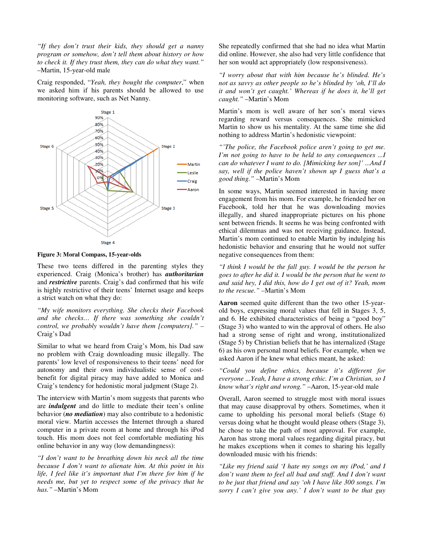*"If they don't trust their kids, they should get a nanny program or somehow, don't tell them about history or how to check it. If they trust them, they can do what they want."* –Martin, 15-year-old male

Craig responded, "*Yeah, they bought the computer*," when we asked him if his parents should be allowed to use monitoring software, such as Net Nanny.



**Figure 3: Moral Compass, 15-year-olds** 

These two teens differed in the parenting styles they experienced. Craig (Monica's brother) has *authoritarian* and *restrictive* parents. Craig's dad confirmed that his wife is highly restrictive of their teens' Internet usage and keeps a strict watch on what they do:

*"My wife monitors everything. She checks their Facebook and she checks… If there was something she couldn't control, we probably wouldn't have them [computers]." –* Craig's Dad

Similar to what we heard from Craig's Mom, his Dad saw no problem with Craig downloading music illegally. The parents' low level of responsiveness to their teens' need for autonomy and their own individualistic sense of costbenefit for digital piracy may have added to Monica and Craig's tendency for hedonistic moral judgment (Stage 2).

The interview with Martin's mom suggests that parents who are *indulgent* and do little to mediate their teen's online behavior (*no mediation*) may also contribute to a hedonistic moral view. Martin accesses the Internet through a shared computer in a private room at home and through his iPod touch. His mom does not feel comfortable mediating his online behavior in any way (low demandingness):

*"I don't want to be breathing down his neck all the time because I don't want to alienate him. At this point in his life, I feel like it's important that I'm there for him if he needs me, but yet to respect some of the privacy that he has."* –Martin's Mom

She repeatedly confirmed that she had no idea what Martin did online. However, she also had very little confidence that her son would act appropriately (low responsiveness).

*"I worry about that with him because he's blinded. He's not as savvy as other people so he's blinded by 'oh, I'll do it and won't get caught.' Whereas if he does it, he'll get caught."* –Martin's Mom

Martin's mom is well aware of her son's moral views regarding reward versus consequences. She mimicked Martin to show us his mentality. At the same time she did nothing to address Martin's hedonistic viewpoint:

*"'The police, the Facebook police aren't going to get me. I'm not going to have to be held to any consequences ...I can do whatever I want to do. [Mimicking her son]' ...And I say, well if the police haven't shown up I guess that's a good thing." –*Martin's Mom

In some ways, Martin seemed interested in having more engagement from his mom. For example, he friended her on Facebook, told her that he was downloading movies illegally, and shared inappropriate pictures on his phone sent between friends. It seems he was being confronted with ethical dilemmas and was not receiving guidance. Instead, Martin's mom continued to enable Martin by indulging his hedonistic behavior and ensuring that he would not suffer negative consequences from them:

*"I think I would be the fall guy. I would be the person he goes to after he did it. I would be the person that he went to and said hey, I did this, how do I get out of it? Yeah, mom to the rescue." –*Martin's Mom

**Aaron** seemed quite different than the two other 15-yearold boys, expressing moral values that fell in Stages 3, 5, and 6. He exhibited characteristics of being a "good boy" (Stage 3) who wanted to win the approval of others. He also had a strong sense of right and wrong, institutionalized (Stage 5) by Christian beliefs that he has internalized (Stage 6) as his own personal moral beliefs. For example, when we asked Aaron if he knew what ethics meant, he asked:

*"Could you define ethics, because it's different for everyone ...Yeah, I have a strong ethic. I'm a Christian, so I know what's right and wrong."* –Aaron, 15-year-old male

Overall, Aaron seemed to struggle most with moral issues that may cause disapproval by others. Sometimes, when it came to upholding his personal moral beliefs (Stage 6) versus doing what he thought would please others (Stage 3), he chose to take the path of most approval. For example, Aaron has strong moral values regarding digital piracy, but he makes exceptions when it comes to sharing his legally downloaded music with his friends:

*"Like my friend said 'I hate my songs on my iPod,' and I don't want them to feel all bad and stuff. And I don't want to be just that friend and say 'oh I have like 300 songs. I'm sorry I can't give you any.' I don't want to be that guy*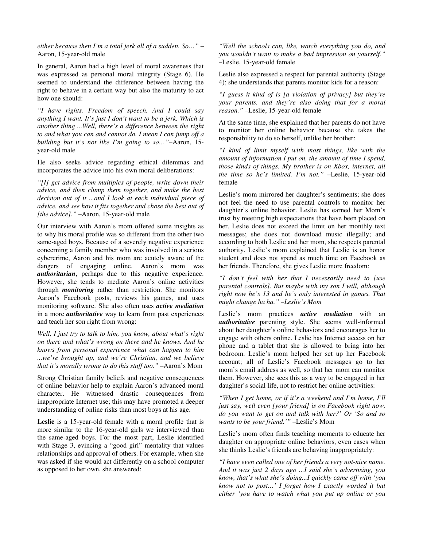# *either because then I'm a total jerk all of a sudden. So…"* – Aaron, 15-year-old male

In general, Aaron had a high level of moral awareness that was expressed as personal moral integrity (Stage 6). He seemed to understand the difference between having the right to behave in a certain way but also the maturity to act how one should:

*"I have rights. Freedom of speech. And I could say anything I want. It's just I don't want to be a jerk. Which is another thing ...Well, there's a difference between the right to and what you can and cannot do. I mean I can jump off a building but it's not like I'm going to so…"–*Aaron, 15 year-old male

He also seeks advice regarding ethical dilemmas and incorporates the advice into his own moral deliberations:

*"[I] get advice from multiples of people, write down their advice, and then clump them together, and make the best decision out of it ...and I look at each individual piece of advice, and see how it fits together and chose the best out of [the advice]."* –Aaron, 15-year-old male

Our interview with Aaron's mom offered some insights as to why his moral profile was so different from the other two same-aged boys. Because of a severely negative experience concerning a family member who was involved in a serious cybercrime, Aaron and his mom are acutely aware of the dangers of engaging online. Aaron's mom was *authoritarian*, perhaps due to this negative experience. However, she tends to mediate Aaron's online activities through *monitoring* rather than restriction. She monitors Aaron's Facebook posts, reviews his games, and uses monitoring software. She also often uses *active mediation* in a more *authoritative* way to learn from past experiences and teach her son right from wrong:

*Well, I just try to talk to him, you know, about what's right on there and what's wrong on there and he knows. And he knows from personal experience what can happen to him ...we're brought up, and we're Christian, and we believe that it's morally wrong to do this stuff too."* –Aaron's Mom

Strong Christian family beliefs and negative consequences of online behavior help to explain Aaron's advanced moral character. He witnessed drastic consequences from inappropriate Internet use; this may have promoted a deeper understanding of online risks than most boys at his age.

**Leslie** is a 15-year-old female with a moral profile that is more similar to the 16-year-old girls we interviewed than the same-aged boys. For the most part, Leslie identified with Stage 3, evincing a "good girl" mentality that values relationships and approval of others. For example, when she was asked if she would act differently on a school computer as opposed to her own, she answered:

*"Well the schools can, like, watch everything you do, and you wouldn't want to make a bad impression on yourself."* –Leslie, 15-year-old female

Leslie also expressed a respect for parental authority (Stage 4); she understands that parents monitor kids for a reason:

*"I guess it kind of is [a violation of privacy] but they're your parents, and they're also doing that for a moral reason."* –Leslie, 15-year-old female

At the same time, she explained that her parents do not have to monitor her online behavior because she takes the responsibility to do so herself, unlike her brother:

*"I kind of limit myself with most things, like with the amount of information I put on, the amount of time I spend, those kinds of things. My brother is on Xbox, internet, all the time so he's limited. I'm not."* –Leslie, 15-year-old female

Leslie's mom mirrored her daughter's sentiments; she does not feel the need to use parental controls to monitor her daughter's online behavior. Leslie has earned her Mom's trust by meeting high expectations that have been placed on her. Leslie does not exceed the limit on her monthly text messages; she does not download music illegally; and according to both Leslie and her mom, she respects parental authority. Leslie's mom explained that Leslie is an honor student and does not spend as much time on Facebook as her friends. Therefore, she gives Leslie more freedom:

*"I don't feel with her that I necessarily need to [use parental controls]. But maybe with my son I will, although right now he's 13 and he's only interested in games. That might change ha ha." –Leslie's Mom*

Leslie's mom practices *active mediation* with an *authoritative* parenting style. She seems well-informed about her daughter's online behaviors and encourages her to engage with others online. Leslie has Internet access on her phone and a tablet that she is allowed to bring into her bedroom. Leslie's mom helped her set up her Facebook account; all of Leslie's Facebook messages go to her mom's email address as well, so that her mom can monitor them. However, she sees this as a way to be engaged in her daughter's social life, not to restrict her online activities:

*"When I get home, or if it's a weekend and I'm home, I'll just say, well even [your friend] is on Facebook right now, do you want to get on and talk with her?' Or 'So and so wants to be your friend.'"* –Leslie's Mom

Leslie's mom often finds teaching moments to educate her daughter on appropriate online behaviors, even cases when she thinks Leslie's friends are behaving inappropriately:

*"I have even called one of her friends a very not-nice name. And it was just 2 days ago ...I said she's advertising, you know, that's what she's doing...I quickly came off with 'you know not to post…' I forget how I exactly worded it but either 'you have to watch what you put up online or you*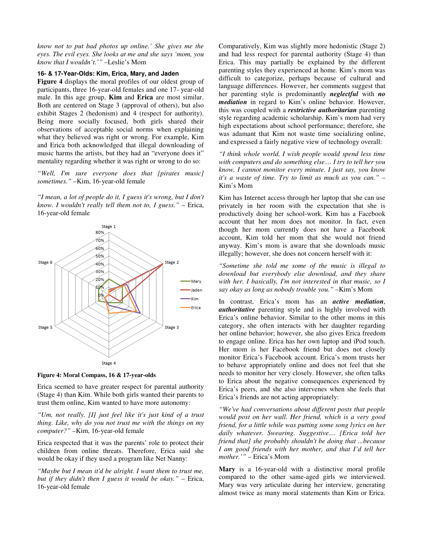*know not to put bad photos up online.' She gives me the eyes. The evil eyes. She looks at me and she says 'mom, you know that I wouldn't.'" –*Leslie's Mom

# **16- & 17-Year-Olds: Kim, Erica, Mary, and Jaden**

**Figure 4** displays the moral profiles of our oldest group of participants, three 16-year-old females and one 17- year-old male. In this age group, **Kim** and **Erica** are most similar. Both are centered on Stage 3 (approval of others), but also exhibit Stages 2 (hedonism) and 4 (respect for authority). Being more socially focused, both girls shared their observations of acceptable social norms when explaining what they believed was right or wrong. For example, Kim and Erica both acknowledged that illegal downloading of music harms the artists, but they had an "everyone does it" mentality regarding whether it was right or wrong to do so:

*"Well, I'm sure everyone does that [pirates music] sometimes."* –Kim, 16-year-old female

*"I mean, a lot of people do it, I guess it's wrong, but I don't know. I wouldn't really tell them not to, I guess."* – Erica, 16-year-old female



**Figure 4: Moral Compass, 16 & 17-year-olds** 

Erica seemed to have greater respect for parental authority (Stage 4) than Kim. While both girls wanted their parents to trust them online, Kim wanted to have more autonomy:

*"Um, not really. [I] just feel like it's just kind of a trust thing. Like, why do you not trust me with the things on my computer?"* –Kim, 16-year-old female

Erica respected that it was the parents' role to protect their children from online threats. Therefore, Erica said she would be okay if they used a program like Net Nanny:

*"Maybe but I mean it'd be alright. I want them to trust me, but if they didn't then I guess it would be okay."* – Erica, 16-year-old female

Comparatively, Kim was slightly more hedonistic (Stage 2) and had less respect for parental authority (Stage 4) than Erica. This may partially be explained by the different parenting styles they experienced at home. Kim's mom was difficult to categorize, perhaps because of cultural and language differences. However, her comments suggest that her parenting style is predominantly *neglectful* with *no mediation* in regard to Kim's online behavior. However, this was coupled with a *restrictive authoritarian* parenting style regarding academic scholarship. Kim's mom had very high expectations about school performance; therefore, she was adamant that Kim not waste time socializing online, and expressed a fairly negative view of technology overall:

*"I think whole world, I wish people would spend less time with computers and do something else.... I try to tell her you know, I cannot monitor every minute. I just say, you know it's a waste of time. Try to limit as much as you can."* – Kim's Mom

Kim has Internet access through her laptop that she can use privately in her room with the expectation that she is productively doing her school-work. Kim has a Facebook account that her mom does not monitor. In fact, even though her mom currently does not have a Facebook account, Kim told her mom that she would not friend anyway. Kim's mom is aware that she downloads music illegally; however, she does not concern herself with it:

*"Sometime she told me some of the music is illegal to download but everybody else download, and they share with her. I basically, I'm not interested in that music, so I say okay as long as nobody trouble you."* –Kim's Mom

In contrast, Erica's mom has an *active mediation*, *authoritative* parenting style and is highly involved with Erica's online behavior. Similar to the other moms in this category, she often interacts with her daughter regarding her online behavior; however, she also gives Erica freedom to engage online. Erica has her own laptop and iPod touch. Her mom is her Facebook friend but does not closely monitor Erica's Facebook account. Erica's mom trusts her to behave appropriately online and does not feel that she needs to monitor her very closely. However, she often talks to Erica about the negative consequences experienced by Erica's peers, and she also intervenes when she feels that Erica's friends are not acting appropriately:

*"We've had conversations about different posts that people would post on her wall. Her friend, which is a very good friend, for a little while was putting some song lyrics on her daily whatever. Swearing. Suggestive.... [Erica told her friend that] she probably shouldn't be doing that ...because I am good friends with her mother, and that I'd tell her mother.'"* – Erica's Mom

**Mary** is a 16-year-old with a distinctive moral profile compared to the other same-aged girls we interviewed. Mary was very articulate during her interview, generating almost twice as many moral statements than Kim or Erica.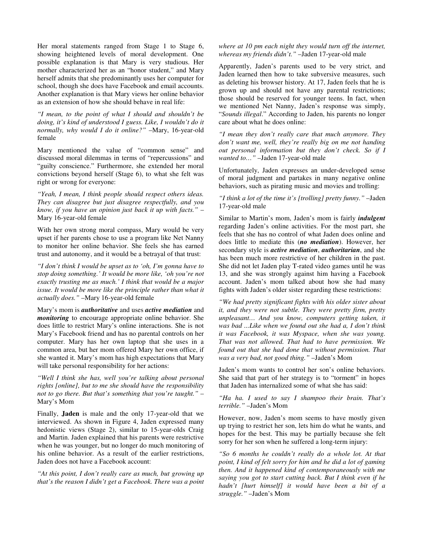Her moral statements ranged from Stage 1 to Stage 6, showing heightened levels of moral development. One possible explanation is that Mary is very studious. Her mother characterized her as an "honor student," and Mary herself admits that she predominantly uses her computer for school, though she does have Facebook and email accounts. Another explanation is that Mary views her online behavior as an extension of how she should behave in real life:

*"I mean, to the point of what I should and shouldn't be doing, it's kind of understood I guess. Like, I wouldn't do it normally, why would I do it online?"* –Mary, 16-year-old female

Mary mentioned the value of "common sense" and discussed moral dilemmas in terms of "repercussions" and "guilty conscience." Furthermore, she extended her moral convictions beyond herself (Stage 6), to what she felt was right or wrong for everyone:

*"Yeah, I mean, I think people should respect others ideas. They can disagree but just disagree respectfully, and you know, if you have an opinion just back it up with facts."* – Mary 16-year-old female

With her own strong moral compass, Mary would be very upset if her parents chose to use a program like Net Nanny to monitor her online behavior. She feels she has earned trust and autonomy, and it would be a betrayal of that trust:

*"I don't think I would be upset as to 'oh, I'm gonna have to stop doing something.' It would be more like, 'oh you're not exactly trusting me as much.' I think that would be a major issue. It would be more like the principle rather than what it actually does."* –Mary 16-year-old female

Mary's mom is *authoritative* and uses *active mediation* and *monitoring* to encourage appropriate online behavior. She does little to restrict Mary's online interactions. She is not Mary's Facebook friend and has no parental controls on her computer. Mary has her own laptop that she uses in a common area, but her mom offered Mary her own office, if she wanted it. Mary's mom has high expectations that Mary will take personal responsibility for her actions:

*"Well I think she has, well you're talking about personal rights [online], but to me she should have the responsibility not to go there. But that's something that you're taught."* – Mary's Mom

Finally, **Jaden** is male and the only 17-year-old that we interviewed. As shown in Figure 4, Jaden expressed many hedonistic views (Stage 2), similar to 15-year-olds Craig and Martin. Jaden explained that his parents were restrictive when he was younger, but no longer do much monitoring of his online behavior. As a result of the earlier restrictions, Jaden does not have a Facebook account:

*"At this point, I don't really care as much, but growing up that's the reason I didn't get a Facebook. There was a point*  *where at 10 pm each night they would turn off the internet, whereas my friends didn't."* –Jaden 17-year-old male

Apparently, Jaden's parents used to be very strict, and Jaden learned then how to take subversive measures, such as deleting his browser history. At 17, Jaden feels that he is grown up and should not have any parental restrictions; those should be reserved for younger teens. In fact, when we mentioned Net Nanny, Jaden's response was simply, "*Sounds illegal*." According to Jaden, his parents no longer care about what he does online:

*"I mean they don't really care that much anymore. They don't want me, well, they're really big on me not handing out personal information but they don't check. So if I wanted to…"* –Jaden 17-year-old male

Unfortunately, Jaden expresses an under-developed sense of moral judgment and partakes in many negative online behaviors, such as pirating music and movies and trolling:

*"I think a lot of the time it's [trolling] pretty funny."* –Jaden 17-year-old male

Similar to Martin's mom, Jaden's mom is fairly *indulgent* regarding Jaden's online activities. For the most part, she feels that she has no control of what Jaden does online and does little to mediate this (*no mediation*). However, her secondary style is *active mediation*, *authoritarian*, and she has been much more restrictive of her children in the past. She did not let Jaden play T-rated video games until he was 13, and she was strongly against him having a Facebook account. Jaden's mom talked about how she had many fights with Jaden's older sister regarding these restrictions:

*"We had pretty significant fights with his older sister about it, and they were not subtle. They were pretty firm, pretty unpleasant… And you know, computers getting taken, it was bad ...Like when we found out she had a, I don't think it was Facebook, it was Myspace, when she was young. That was not allowed. That had to have permission. We found out that she had done that without permission. That was a very bad, not good thing."* –Jaden's Mom

Jaden's mom wants to control her son's online behaviors. She said that part of her strategy is to "torment" in hopes that Jaden has internalized some of what she has said:

*"Ha ha. I used to say I shampoo their brain. That's terrible."* –Jaden's Mom

However, now, Jaden's mom seems to have mostly given up trying to restrict her son, lets him do what he wants, and hopes for the best. This may be partially because she felt sorry for her son when he suffered a long-term injury:

*"So 6 months he couldn't really do a whole lot. At that point, I kind of felt sorry for him and he did a lot of gaming then. And it happened kind of contemporaneously with me saying you got to start cutting back. But I think even if he hadn't [hurt himself] it would have been a bit of a struggle."* –Jaden's Mom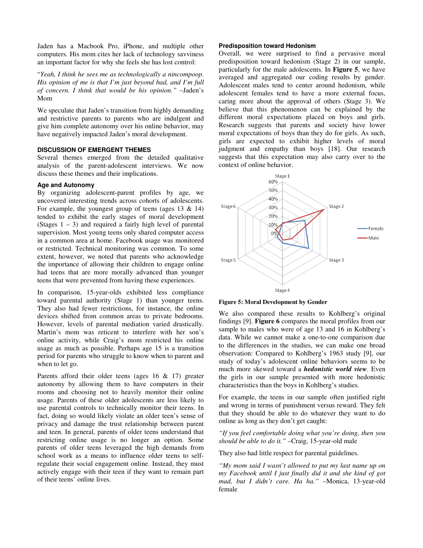Jaden has a Macbook Pro, iPhone, and multiple other computers. His mom cites her lack of technology savviness an important factor for why she feels she has lost control:

"*Yeah, I think he sees me as technologically a nincompoop. His opinion of me is that I'm just beyond bad, and I'm full of concern. I think that would be his opinion."* –Jaden's Mom

We speculate that Jaden's transition from highly demanding and restrictive parents to parents who are indulgent and give him complete autonomy over his online behavior, may have negatively impacted Jaden's moral development.

## **DISCUSSION OF EMERGENT THEMES**

Several themes emerged from the detailed qualitative analysis of the parent-adolescent interviews. We now discuss these themes and their implications.

## **Age and Autonomy**

By organizing adolescent-parent profiles by age, we uncovered interesting trends across cohorts of adolescents. For example, the youngest group of teens (ages 13 & 14) tended to exhibit the early stages of moral development (Stages  $1 - 3$ ) and required a fairly high level of parental supervision. Most young teens only shared computer access in a common area at home. Facebook usage was monitored or restricted. Technical monitoring was common. To some extent, however, we noted that parents who acknowledge the importance of allowing their children to engage online had teens that are more morally advanced than younger teens that were prevented from having these experiences.

In comparison, 15-year-olds exhibited less compliance toward parental authority (Stage 1) than younger teens. They also had fewer restrictions, for instance, the online devices shifted from common areas to private bedrooms. However, levels of parental mediation varied drastically. Martin's mom was reticent to interfere with her son's online activity, while Craig's mom restricted his online usage as much as possible. Perhaps age 15 is a transition period for parents who struggle to know when to parent and when to let go.

Parents afford their older teens (ages 16 & 17) greater autonomy by allowing them to have computers in their rooms and choosing not to heavily monitor their online usage. Parents of these older adolescents are less likely to use parental controls to technically monitor their teens. In fact, doing so would likely violate an older teen's sense of privacy and damage the trust relationship between parent and teen. In general, parents of older teens understand that restricting online usage is no longer an option. Some parents of older teens leveraged the high demands from school work as a means to influence older teens to selfregulate their social engagement online. Instead, they must actively engage with their teen if they want to remain part of their teens' online lives.

## **Predisposition toward Hedonism**

Overall, we were surprised to find a pervasive moral predisposition toward hedonism (Stage 2) in our sample, particularly for the male adolescents. In **Figure 5**, we have averaged and aggregated our coding results by gender. Adolescent males tend to center around hedonism, while adolescent females tend to have a more external focus, caring more about the approval of others (Stage 3). We believe that this phenomenon can be explained by the different moral expectations placed on boys and girls. Research suggests that parents and society have lower moral expectations of boys than they do for girls. As such, girls are expected to exhibit higher levels of moral judgment and empathy than boys [18]. Our research suggests that this expectation may also carry over to the context of online behavior.





We also compared these results to Kohlberg's original findings [9]. **Figure 6** compares the moral profiles from our sample to males who were of age 13 and 16 in Kohlberg's data. While we cannot make a one-to-one comparison due to the differences in the studies, we can make one broad observation: Compared to Kohlberg's 1963 study [9], our study of today's adolescent online behaviors seems to be much more skewed toward a *hedonistic world view*. Even the girls in our sample presented with more hedonistic characteristics than the boys in Kohlberg's studies.

For example, the teens in our sample often justified right and wrong in terms of punishment versus reward. They felt that they should be able to do whatever they want to do online as long as they don't get caught:

*"If you feel comfortable doing what you're doing, then you should be able to do it."* –Craig, 15-year-old male

They also had little respect for parental guidelines.

*"My mom said I wasn't allowed to put my last name up on my Facebook until I just finally did it and she kind of got mad, but I didn't care. Ha ha."* –Monica, 13-year-old female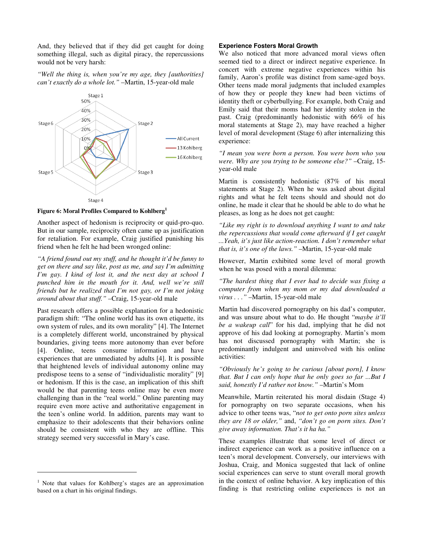And, they believed that if they did get caught for doing something illegal, such as digital piracy, the repercussions would not be very harsh:

*"Well the thing is, when you're my age, they [authorities] can't exactly do a whole lot."* –Martin, 15-year-old male



**Figure 6: Moral Profiles Compared to Kohlberg<sup>1</sup>**

Another aspect of hedonism is reciprocity or quid-pro-quo. But in our sample, reciprocity often came up as justification for retaliation. For example, Craig justified punishing his friend when he felt he had been wronged online:

*"A friend found out my stuff, and he thought it'd be funny to get on there and say like, post as me, and say I'm admitting I'm gay. I kind of lost it, and the next day at school I punched him in the mouth for it. And, well we're still friends but he realized that I'm not gay, or I'm not joking around about that stuff."* –Craig, 15-year-old male

Past research offers a possible explanation for a hedonistic paradigm shift: "The online world has its own etiquette, its own system of rules, and its own morality" [4]. The Internet is a completely different world, unconstrained by physical boundaries, giving teens more autonomy than ever before [4]. Online, teens consume information and have experiences that are unmediated by adults [4]. It is possible that heightened levels of individual autonomy online may predispose teens to a sense of "individualistic morality" [9] or hedonism. If this is the case, an implication of this shift would be that parenting teens online may be even more challenging than in the "real world." Online parenting may require even more active and authoritative engagement in the teen's online world. In addition, parents may want to emphasize to their adolescents that their behaviors online should be consistent with who they are offline. This strategy seemed very successful in Mary's case.

-

## **Experience Fosters Moral Growth**

We also noticed that more advanced moral views often seemed tied to a direct or indirect negative experience. In concert with extreme negative experiences within his family, Aaron's profile was distinct from same-aged boys. Other teens made moral judgments that included examples of how they or people they knew had been victims of identity theft or cyberbullying. For example, both Craig and Emily said that their moms had her identity stolen in the past. Craig (predominantly hedonistic with 66% of his moral statements at Stage 2), may have reached a higher level of moral development (Stage 6) after internalizing this experience:

*"I mean you were born a person. You were born who you were. Why are you trying to be someone else?"* –Craig, 15 year-old male

Martin is consistently hedonistic (87% of his moral statements at Stage 2). When he was asked about digital rights and what he felt teens should and should not do online, he made it clear that he should be able to do what he pleases, as long as he does not get caught:

*"Like my right is to download anything I want to and take the repercussions that would come afterward if I get caught ...Yeah, it's just like action-reaction. I don't remember what that is, it's one of the laws."* –Martin, 15-year-old male

However, Martin exhibited some level of moral growth when he was posed with a moral dilemma:

*"The hardest thing that I ever had to decide was fixing a computer from when my mom or my dad downloaded a virus . . ."* –Martin, 15-year-old male

Martin had discovered pornography on his dad's computer, and was unsure about what to do. He thought "*maybe it'll be a wakeup call*" for his dad, implying that he did not approve of his dad looking at pornography. Martin's mom has not discussed pornography with Martin; she is predominantly indulgent and uninvolved with his online activities:

*"Obviously he's going to be curious [about porn], I know that. But I can only hope that he only goes so far ...But I said, honestly I'd rather not know."* –Martin's Mom

Meanwhile, Martin reiterated his moral disdain (Stage 4) for pornography on two separate occasions, when his advice to other teens was, "*not to get onto porn sites unless they are 18 or older,"* and, *"don't go on porn sites. Don't give away information. That's it ha ha."* 

These examples illustrate that some level of direct or indirect experience can work as a positive influence on a teen's moral development. Conversely, our interviews with Joshua, Craig, and Monica suggested that lack of online social experiences can serve to stunt overall moral growth in the context of online behavior. A key implication of this finding is that restricting online experiences is not an

<sup>1</sup> Note that values for Kohlberg's stages are an approximation based on a chart in his original findings.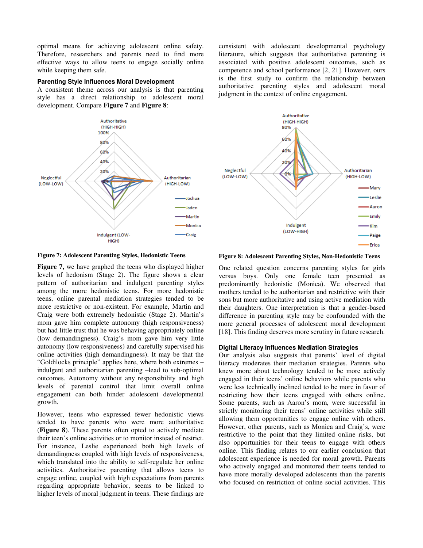optimal means for achieving adolescent online safety. Therefore, researchers and parents need to find more effective ways to allow teens to engage socially online while keeping them safe.

#### **Parenting Style Influences Moral Development**

A consistent theme across our analysis is that parenting style has a direct relationship to adolescent moral development. Compare **Figure 7** and **Figure 8**:



**Figure 7: Adolescent Parenting Styles, Hedonistic Teens** 

**Figure 7,** we have graphed the teens who displayed higher levels of hedonism (Stage 2). The figure shows a clear pattern of authoritarian and indulgent parenting styles among the more hedonistic teens. For more hedonistic teens, online parental mediation strategies tended to be more restrictive or non-existent. For example, Martin and Craig were both extremely hedonistic (Stage 2). Martin's mom gave him complete autonomy (high responsiveness) but had little trust that he was behaving appropriately online (low demandingness). Craig's mom gave him very little autonomy (low responsiveness) and carefully supervised his online activities (high demandingness). It may be that the "Goldilocks principle" applies here, where both extremes – indulgent and authoritarian parenting –lead to sub-optimal outcomes. Autonomy without any responsibility and high levels of parental control that limit overall online engagement can both hinder adolescent developmental growth.

However, teens who expressed fewer hedonistic views tended to have parents who were more authoritative (**Figure 8**). These parents often opted to actively mediate their teen's online activities or to monitor instead of restrict. For instance, Leslie experienced both high levels of demandingness coupled with high levels of responsiveness, which translated into the ability to self-regulate her online activities. Authoritative parenting that allows teens to engage online, coupled with high expectations from parents regarding appropriate behavior, seems to be linked to higher levels of moral judgment in teens. These findings are

consistent with adolescent developmental psychology literature, which suggests that authoritative parenting is associated with positive adolescent outcomes, such as competence and school performance [2, 21]. However, ours is the first study to confirm the relationship between authoritative parenting styles and adolescent moral judgment in the context of online engagement.



**Figure 8: Adolescent Parenting Styles, Non-Hedonistic Teens** 

One related question concerns parenting styles for girls versus boys. Only one female teen presented as predominantly hedonistic (Monica). We observed that mothers tended to be authoritarian and restrictive with their sons but more authoritative and using active mediation with their daughters. One interpretation is that a gender-based difference in parenting style may be confounded with the more general processes of adolescent moral development [18]. This finding deserves more scrutiny in future research.

## **Digital Literacy Influences Mediation Strategies**

Our analysis also suggests that parents' level of digital literacy moderates their mediation strategies. Parents who knew more about technology tended to be more actively engaged in their teens' online behaviors while parents who were less technically inclined tended to be more in favor of restricting how their teens engaged with others online. Some parents, such as Aaron's mom, were successful in strictly monitoring their teens' online activities while still allowing them opportunities to engage online with others. However, other parents, such as Monica and Craig's, were restrictive to the point that they limited online risks, but also opportunities for their teens to engage with others online. This finding relates to our earlier conclusion that adolescent experience is needed for moral growth. Parents who actively engaged and monitored their teens tended to have more morally developed adolescents than the parents who focused on restriction of online social activities. This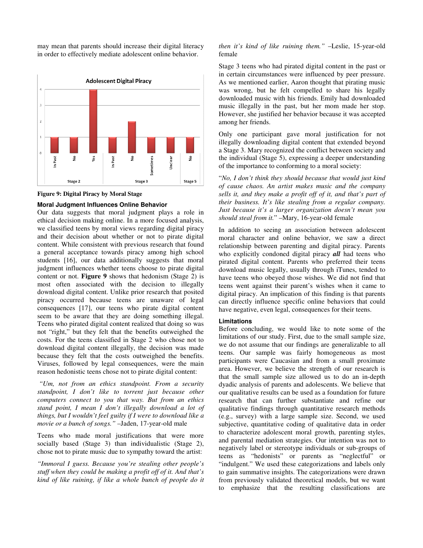may mean that parents should increase their digital literacy in order to effectively mediate adolescent online behavior.



**Figure 9: Digital Piracy by Moral Stage** 

# **Moral Judgment Influences Online Behavior**

Our data suggests that moral judgment plays a role in ethical decision making online. In a more focused analysis, we classified teens by moral views regarding digital piracy and their decision about whether or not to pirate digital content. While consistent with previous research that found a general acceptance towards piracy among high school students [16], our data additionally suggests that moral judgment influences whether teens choose to pirate digital content or not. **Figure 9** shows that hedonism (Stage 2) is most often associated with the decision to illegally download digital content. Unlike prior research that posited piracy occurred because teens are unaware of legal consequences [17], our teens who pirate digital content seem to be aware that they are doing something illegal. Teens who pirated digital content realized that doing so was not "right," but they felt that the benefits outweighed the costs. For the teens classified in Stage 2 who chose not to download digital content illegally, the decision was made because they felt that the costs outweighed the benefits. Viruses, followed by legal consequences, were the main reason hedonistic teens chose not to pirate digital content:

 *"Um, not from an ethics standpoint. From a security standpoint, I don't like to torrent just because other computers connect to you that way. But from an ethics stand point, I mean I don't illegally download a lot of things, but I wouldn't feel guilty if I were to download like a movie or a bunch of songs."* –Jaden, 17-year-old male

Teens who made moral justifications that were more socially based (Stage 3) than individualistic (Stage 2), chose not to pirate music due to sympathy toward the artist:

*"Immoral I guess. Because you're stealing other people's stuff when they could be making a profit off of it. And that's kind of like ruining, if like a whole bunch of people do it* 

## *then it's kind of like ruining them."* –Leslie, 15-year-old female

Stage 3 teens who had pirated digital content in the past or in certain circumstances were influenced by peer pressure. As we mentioned earlier, Aaron thought that pirating music was wrong, but he felt compelled to share his legally downloaded music with his friends. Emily had downloaded music illegally in the past, but her mom made her stop. However, she justified her behavior because it was accepted among her friends.

Only one participant gave moral justification for not illegally downloading digital content that extended beyond a Stage 3. Mary recognized the conflict between society and the individual (Stage 5), expressing a deeper understanding of the importance to conforming to a moral society:

"*No, I don't think they should because that would just kind of cause chaos. An artist makes music and the company sells it, and they make a profit off of it, and that's part of their business. It's like stealing from a regular company. Just because it's a larger organization doesn't mean you should steal from it.*" –Mary, 16-year-old female

In addition to seeing an association between adolescent moral character and online behavior, we saw a direct relationship between parenting and digital piracy. Parents who explicitly condoned digital piracy *all* had teens who pirated digital content. Parents who preferred their teens download music legally, usually through iTunes, tended to have teens who obeyed those wishes. We did not find that teens went against their parent's wishes when it came to digital piracy. An implication of this finding is that parents can directly influence specific online behaviors that could have negative, even legal, consequences for their teens.

#### **Limitations**

Before concluding, we would like to note some of the limitations of our study. First, due to the small sample size, we do not assume that our findings are generalizable to all teens. Our sample was fairly homogeneous as most participants were Caucasian and from a small proximate area. However, we believe the strength of our research is that the small sample size allowed us to do an in-depth dyadic analysis of parents and adolescents. We believe that our qualitative results can be used as a foundation for future research that can further substantiate and refine our qualitative findings through quantitative research methods (e.g., survey) with a large sample size. Second, we used subjective, quantitative coding of qualitative data in order to characterize adolescent moral growth, parenting styles, and parental mediation strategies. Our intention was not to negatively label or stereotype individuals or sub-groups of teens as "hedonists" or parents as "neglectful" or "indulgent." We used these categorizations and labels only to gain summative insights. The categorizations were drawn from previously validated theoretical models, but we want to emphasize that the resulting classifications are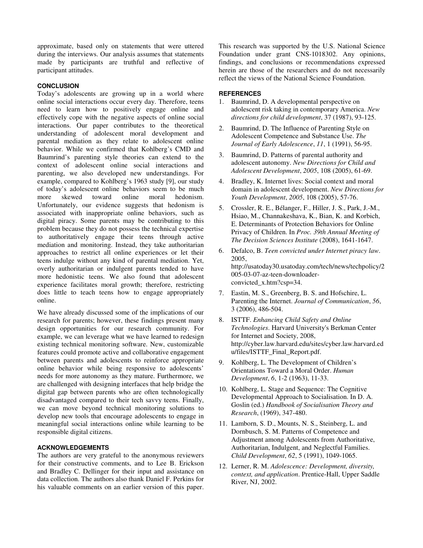approximate, based only on statements that were uttered during the interviews. Our analysis assumes that statements made by participants are truthful and reflective of participant attitudes.

# **CONCLUSION**

Today's adolescents are growing up in a world where online social interactions occur every day. Therefore, teens need to learn how to positively engage online and effectively cope with the negative aspects of online social interactions. Our paper contributes to the theoretical understanding of adolescent moral development and parental mediation as they relate to adolescent online behavior. While we confirmed that Kohlberg's CMD and Baumrind's parenting style theories can extend to the context of adolescent online social interactions and parenting, we also developed new understandings. For example, compared to Kohlberg's 1963 study [9], our study of today's adolescent online behaviors seem to be much more skewed toward online moral hedonism. Unfortunately, our evidence suggests that hedonism is associated with inappropriate online behaviors, such as digital piracy. Some parents may be contributing to this problem because they do not possess the technical expertise to authoritatively engage their teens through active mediation and monitoring. Instead, they take authoritarian approaches to restrict all online experiences or let their teens indulge without any kind of parental mediation. Yet, overly authoritarian or indulgent parents tended to have more hedonistic teens. We also found that adolescent experience facilitates moral growth; therefore, restricting does little to teach teens how to engage appropriately online.

We have already discussed some of the implications of our research for parents; however, these findings present many design opportunities for our research community. For example, we can leverage what we have learned to redesign existing technical monitoring software. New, customizable features could promote active and collaborative engagement between parents and adolescents to reinforce appropriate online behavior while being responsive to adolescents' needs for more autonomy as they mature. Furthermore, we are challenged with designing interfaces that help bridge the digital gap between parents who are often technologically disadvantaged compared to their tech savvy teens. Finally, we can move beyond technical monitoring solutions to develop new tools that encourage adolescents to engage in meaningful social interactions online while learning to be responsible digital citizens.

# **ACKNOWLEDGEMENTS**

The authors are very grateful to the anonymous reviewers for their constructive comments, and to Lee B. Erickson and Bradley C. Dellinger for their input and assistance on data collection. The authors also thank Daniel F. Perkins for his valuable comments on an earlier version of this paper.

This research was supported by the U.S. National Science Foundation under grant CNS-1018302. Any opinions, findings, and conclusions or recommendations expressed herein are those of the researchers and do not necessarily reflect the views of the National Science Foundation.

## **REFERENCES**

- 1. Baumrind, D. A developmental perspective on adolescent risk taking in contemporary America. *New directions for child development*, 37 (1987), 93-125.
- 2. Baumrind, D. The Influence of Parenting Style on Adolescent Competence and Substance Use. *The Journal of Early Adolescence*, *11*, 1 (1991), 56-95.
- 3. Baumrind, D. Patterns of parental authority and adolescent autonomy. *New Directions for Child and Adolescent Development*, *2005*, 108 (2005), 61-69.
- 4. Bradley, K. Internet lives: Social context and moral domain in adolescent development. *New Directions for Youth Development*, *2005*, 108 (2005), 57-76.
- 5. Crossler, R. E., Bélanger, F., Hiller, J. S., Park, J.-M., Hsiao, M., Channakeshava, K., Bian, K. and Korbich, E. Determinants of Protection Behaviors for Online Privacy of Children. In *Proc. 39th Annual Meeting of The Decision Sciences Institute* (2008), 1641-1647.
- 6. Defalco, B. *Teen convicted under Internet piracy law*. 2005, http://usatoday30.usatoday.com/tech/news/techpolicy/2 005-03-07-az-teen-downloaderconvicted\_x.htm?csp=34.
- 7. Eastin, M. S., Greenberg, B. S. and Hofschire, L. Parenting the Internet. *Journal of Communication*, *56*, 3 (2006), 486-504.
- 8. ISTTF. *Enhancing Child Safety and Online Technologies*. Harvard University's Berkman Center for Internet and Society, 2008, http://cyber.law.harvard.edu/sites/cyber.law.harvard.ed u/files/ISTTF\_Final\_Report.pdf.
- 9. Kohlberg, L. The Development of Children's Orientations Toward a Moral Order. *Human Development*, *6*, 1-2 (1963), 11-33.
- 10. Kohlberg, L. Stage and Sequence: The Cognitive Developmental Approach to Socialisation. In D. A. Goslin (ed.) *Handbook of Socialisation Theory and Research*, (1969), 347-480.
- 11. Lamborn, S. D., Mounts, N. S., Steinberg, L. and Dornbusch, S. M. Patterns of Competence and Adjustment among Adolescents from Authoritative, Authoritarian, Indulgent, and Neglectful Families. *Child Development*, *62*, 5 (1991), 1049-1065.
- 12. Lerner, R. M. *Adolescence: Development, diversity, context, and application*. Prentice-Hall, Upper Saddle River, NJ, 2002.